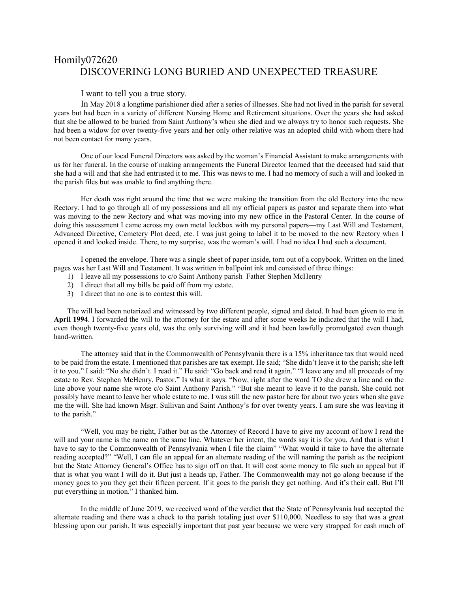## Homily072620 DISCOVERING LONG BURIED AND UNEXPECTED TREASURE

## I want to tell you a true story.

In May 2018 a longtime parishioner died after a series of illnesses. She had not lived in the parish for several years but had been in a variety of different Nursing Home and Retirement situations. Over the years she had asked that she be allowed to be buried from Saint Anthony's when she died and we always try to honor such requests. She had been a widow for over twenty-five years and her only other relative was an adopted child with whom there had not been contact for many years.

One of our local Funeral Directors was asked by the woman's Financial Assistant to make arrangements with us for her funeral. In the course of making arrangements the Funeral Director learned that the deceased had said that she had a will and that she had entrusted it to me. This was news to me. I had no memory of such a will and looked in the parish files but was unable to find anything there.

Her death was right around the time that we were making the transition from the old Rectory into the new Rectory. I had to go through all of my possessions and all my official papers as pastor and separate them into what was moving to the new Rectory and what was moving into my new office in the Pastoral Center. In the course of doing this assessment I came across my own metal lockbox with my personal papers—my Last Will and Testament, Advanced Directive, Cemetery Plot deed, etc. I was just going to label it to be moved to the new Rectory when I opened it and looked inside. There, to my surprise, was the woman's will. I had no idea I had such a document.

I opened the envelope. There was a single sheet of paper inside, torn out of a copybook. Written on the lined pages was her Last Will and Testament. It was written in ballpoint ink and consisted of three things:

- 1) I leave all my possessions to c/o Saint Anthony parish Father Stephen McHenry
- 2) I direct that all my bills be paid off from my estate.
- 3) I direct that no one is to contest this will.

The will had been notarized and witnessed by two different people, signed and dated. It had been given to me in **April 1994**. I forwarded the will to the attorney for the estate and after some weeks he indicated that the will I had, even though twenty-five years old, was the only surviving will and it had been lawfully promulgated even though hand-written.

The attorney said that in the Commonwealth of Pennsylvania there is a 15% inheritance tax that would need to be paid from the estate. I mentioned that parishes are tax exempt. He said; "She didn't leave it to the parish; she left it to you." I said: "No she didn't. I read it." He said: "Go back and read it again." "I leave any and all proceeds of my estate to Rev. Stephen McHenry, Pastor." Is what it says. "Now, right after the word TO she drew a line and on the line above your name she wrote c/o Saint Anthony Parish." "But she meant to leave it to the parish. She could not possibly have meant to leave her whole estate to me. I was still the new pastor here for about two years when she gave me the will. She had known Msgr. Sullivan and Saint Anthony's for over twenty years. I am sure she was leaving it to the parish."

"Well, you may be right, Father but as the Attorney of Record I have to give my account of how I read the will and your name is the name on the same line. Whatever her intent, the words say it is for you. And that is what I have to say to the Commonwealth of Pennsylvania when I file the claim" "What would it take to have the alternate reading accepted?" "Well, I can file an appeal for an alternate reading of the will naming the parish as the recipient but the State Attorney General's Office has to sign off on that. It will cost some money to file such an appeal but if that is what you want I will do it. But just a heads up, Father. The Commonwealth may not go along because if the money goes to you they get their fifteen percent. If it goes to the parish they get nothing. And it's their call. But I'll put everything in motion." I thanked him.

In the middle of June 2019, we received word of the verdict that the State of Pennsylvania had accepted the alternate reading and there was a check to the parish totaling just over \$110,000. Needless to say that was a great blessing upon our parish. It was especially important that past year because we were very strapped for cash much of